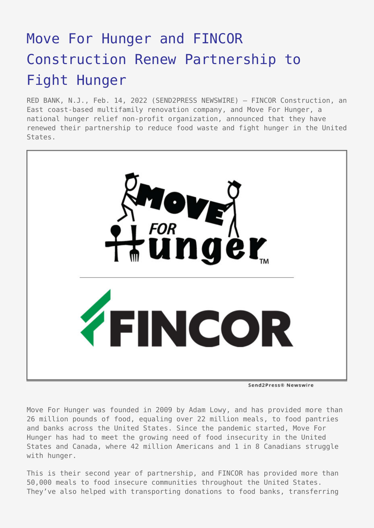## [Move For Hunger and FINCOR](https://www.send2press.com/wire/move-for-hunger-and-fincor-construction-renew-partnership-to-fight-hunger/) [Construction Renew Partnership to](https://www.send2press.com/wire/move-for-hunger-and-fincor-construction-renew-partnership-to-fight-hunger/) [Fight Hunger](https://www.send2press.com/wire/move-for-hunger-and-fincor-construction-renew-partnership-to-fight-hunger/)

RED BANK, N.J., Feb. 14, 2022 (SEND2PRESS NEWSWIRE) — FINCOR Construction, an East coast-based multifamily renovation company, and Move For Hunger, a national hunger relief non-profit organization, announced that they have renewed their partnership to reduce food waste and fight hunger in the United States.



Send2Press® Newswire

Move For Hunger was founded in 2009 by Adam Lowy, and has provided more than 26 million pounds of food, equaling over 22 million meals, to food pantries and banks across the United States. Since the pandemic started, Move For Hunger has had to meet the growing need of food insecurity in the United States and Canada, where 42 million Americans and 1 in 8 Canadians struggle with hunger.

This is their second year of partnership, and FINCOR has provided more than 50,000 meals to food insecure communities throughout the United States. They've also helped with transporting donations to food banks, transferring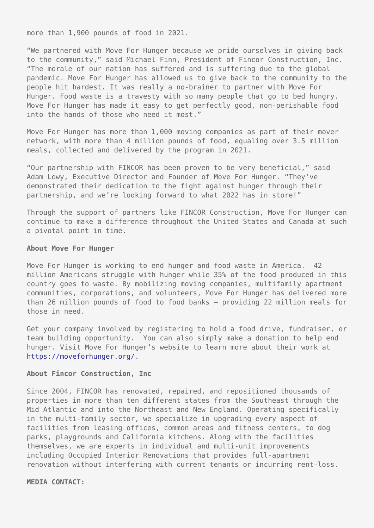more than 1,900 pounds of food in 2021.

"We partnered with Move For Hunger because we pride ourselves in giving back to the community," said Michael Finn, President of Fincor Construction, Inc. "The morale of our nation has suffered and is suffering due to the global pandemic. Move For Hunger has allowed us to give back to the community to the people hit hardest. It was really a no-brainer to partner with Move For Hunger. Food waste is a travesty with so many people that go to bed hungry. Move For Hunger has made it easy to get perfectly good, non-perishable food into the hands of those who need it most."

Move For Hunger has more than 1,000 moving companies as part of their mover network, with more than 4 million pounds of food, equaling over 3.5 million meals, collected and delivered by the program in 2021.

"Our partnership with FINCOR has been proven to be very beneficial," said Adam Lowy, Executive Director and Founder of Move For Hunger. "They've demonstrated their dedication to the fight against hunger through their partnership, and we're looking forward to what 2022 has in store!"

Through the support of partners like FINCOR Construction, Move For Hunger can continue to make a difference throughout the United States and Canada at such a pivotal point in time.

## **About Move For Hunger**

Move For Hunger is working to end hunger and food waste in America. 42 million Americans struggle with hunger while 35% of the food produced in this country goes to waste. By mobilizing moving companies, multifamily apartment communities, corporations, and volunteers, Move For Hunger has delivered more than 26 million pounds of food to food banks – providing 22 million meals for those in need.

Get your company involved by registering to hold a food drive, fundraiser, or team building opportunity. You can also simply make a donation to help end hunger. Visit Move For Hunger's website to learn more about their work at [https://moveforhunger.org/.](https://moveforhunger.org/)

## **About Fincor Construction, Inc**

Since 2004, FINCOR has renovated, repaired, and repositioned thousands of properties in more than ten different states from the Southeast through the Mid Atlantic and into the Northeast and New England. Operating specifically in the multi-family sector, we specialize in upgrading every aspect of facilities from leasing offices, common areas and fitness centers, to dog parks, playgrounds and California kitchens. Along with the facilities themselves, we are experts in individual and multi-unit improvements including Occupied Interior Renovations that provides full-apartment renovation without interfering with current tenants or incurring rent-loss.

## **MEDIA CONTACT:**